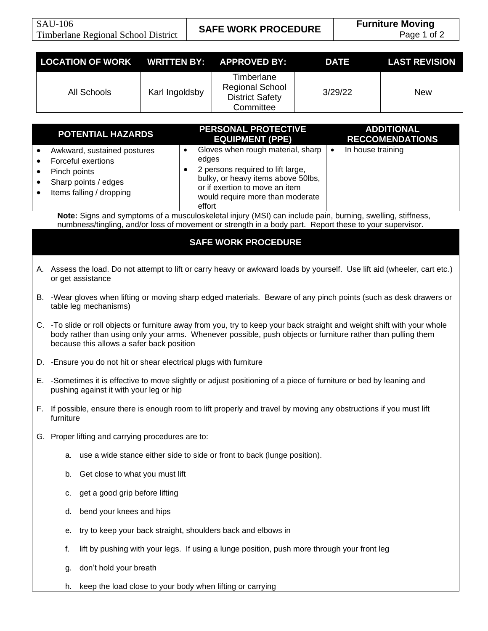|                                                                                                                                                                                                                       | <b>LOCATION OF WORK</b>                                                                                                                                                                                                                                                               | <b>WRITTEN BY:</b>                                                                                                | <b>APPROVED BY:</b>                                                                                                                                                                                                                                  | <b>DATE</b> | <b>LAST REVISION</b> |  |
|-----------------------------------------------------------------------------------------------------------------------------------------------------------------------------------------------------------------------|---------------------------------------------------------------------------------------------------------------------------------------------------------------------------------------------------------------------------------------------------------------------------------------|-------------------------------------------------------------------------------------------------------------------|------------------------------------------------------------------------------------------------------------------------------------------------------------------------------------------------------------------------------------------------------|-------------|----------------------|--|
|                                                                                                                                                                                                                       | <b>All Schools</b>                                                                                                                                                                                                                                                                    | Karl Ingoldsby                                                                                                    | Timberlane<br><b>Regional School</b><br><b>District Safety</b><br>Committee                                                                                                                                                                          | 3/29/22     | <b>New</b>           |  |
|                                                                                                                                                                                                                       |                                                                                                                                                                                                                                                                                       |                                                                                                                   |                                                                                                                                                                                                                                                      |             |                      |  |
| PERSONAL PROTECTIVE<br><b>ADDITIONAL</b><br><b>POTENTIAL HAZARDS</b><br><b>RECCOMENDATIONS</b><br><b>EQUIPMENT (PPE)</b>                                                                                              |                                                                                                                                                                                                                                                                                       |                                                                                                                   |                                                                                                                                                                                                                                                      |             |                      |  |
|                                                                                                                                                                                                                       | Awkward, sustained postures<br>Forceful exertions<br>Pinch points<br>Sharp points / edges<br>Items falling / dropping                                                                                                                                                                 |                                                                                                                   | Gloves when rough material, sharp<br>In house training<br>$\bullet$<br>$\bullet$<br>edges<br>2 persons required to lift large,<br>bulky, or heavy items above 50lbs,<br>or if exertion to move an item<br>would require more than moderate<br>effort |             |                      |  |
| Note: Signs and symptoms of a musculoskeletal injury (MSI) can include pain, burning, swelling, stiffness,<br>numbness/tingling, and/or loss of movement or strength in a body part. Report these to your supervisor. |                                                                                                                                                                                                                                                                                       |                                                                                                                   |                                                                                                                                                                                                                                                      |             |                      |  |
|                                                                                                                                                                                                                       |                                                                                                                                                                                                                                                                                       |                                                                                                                   |                                                                                                                                                                                                                                                      |             |                      |  |
| <b>SAFE WORK PROCEDURE</b>                                                                                                                                                                                            |                                                                                                                                                                                                                                                                                       |                                                                                                                   |                                                                                                                                                                                                                                                      |             |                      |  |
|                                                                                                                                                                                                                       | A. Assess the load. Do not attempt to lift or carry heavy or awkward loads by yourself. Use lift aid (wheeler, cart etc.)<br>or get assistance                                                                                                                                        |                                                                                                                   |                                                                                                                                                                                                                                                      |             |                      |  |
|                                                                                                                                                                                                                       | table leg mechanisms)                                                                                                                                                                                                                                                                 | B. -Wear gloves when lifting or moving sharp edged materials. Beware of any pinch points (such as desk drawers or |                                                                                                                                                                                                                                                      |             |                      |  |
|                                                                                                                                                                                                                       | C. -To slide or roll objects or furniture away from you, try to keep your back straight and weight shift with your whole<br>body rather than using only your arms. Whenever possible, push objects or furniture rather than pulling them<br>because this allows a safer back position |                                                                                                                   |                                                                                                                                                                                                                                                      |             |                      |  |
|                                                                                                                                                                                                                       | D. - Ensure you do not hit or shear electrical plugs with furniture                                                                                                                                                                                                                   |                                                                                                                   |                                                                                                                                                                                                                                                      |             |                      |  |
|                                                                                                                                                                                                                       | E. -Sometimes it is effective to move slightly or adjust positioning of a piece of furniture or bed by leaning and<br>pushing against it with your leg or hip                                                                                                                         |                                                                                                                   |                                                                                                                                                                                                                                                      |             |                      |  |
|                                                                                                                                                                                                                       | If possible, ensure there is enough room to lift properly and travel by moving any obstructions if you must lift<br>furniture                                                                                                                                                         |                                                                                                                   |                                                                                                                                                                                                                                                      |             |                      |  |
|                                                                                                                                                                                                                       |                                                                                                                                                                                                                                                                                       | G. Proper lifting and carrying procedures are to:                                                                 |                                                                                                                                                                                                                                                      |             |                      |  |
|                                                                                                                                                                                                                       | а.                                                                                                                                                                                                                                                                                    | use a wide stance either side to side or front to back (lunge position).                                          |                                                                                                                                                                                                                                                      |             |                      |  |
|                                                                                                                                                                                                                       | b.                                                                                                                                                                                                                                                                                    | Get close to what you must lift                                                                                   |                                                                                                                                                                                                                                                      |             |                      |  |
|                                                                                                                                                                                                                       | c.                                                                                                                                                                                                                                                                                    | get a good grip before lifting                                                                                    |                                                                                                                                                                                                                                                      |             |                      |  |
|                                                                                                                                                                                                                       | d.                                                                                                                                                                                                                                                                                    | bend your knees and hips                                                                                          |                                                                                                                                                                                                                                                      |             |                      |  |
|                                                                                                                                                                                                                       | е.                                                                                                                                                                                                                                                                                    | try to keep your back straight, shoulders back and elbows in                                                      |                                                                                                                                                                                                                                                      |             |                      |  |
|                                                                                                                                                                                                                       |                                                                                                                                                                                                                                                                                       | lift by pushing with your legs. If using a lunge position, push more through your front leg<br>f.                 |                                                                                                                                                                                                                                                      |             |                      |  |
|                                                                                                                                                                                                                       | g.                                                                                                                                                                                                                                                                                    | don't hold your breath                                                                                            |                                                                                                                                                                                                                                                      |             |                      |  |
|                                                                                                                                                                                                                       | h.                                                                                                                                                                                                                                                                                    | keep the load close to your body when lifting or carrying                                                         |                                                                                                                                                                                                                                                      |             |                      |  |
|                                                                                                                                                                                                                       |                                                                                                                                                                                                                                                                                       |                                                                                                                   |                                                                                                                                                                                                                                                      |             |                      |  |